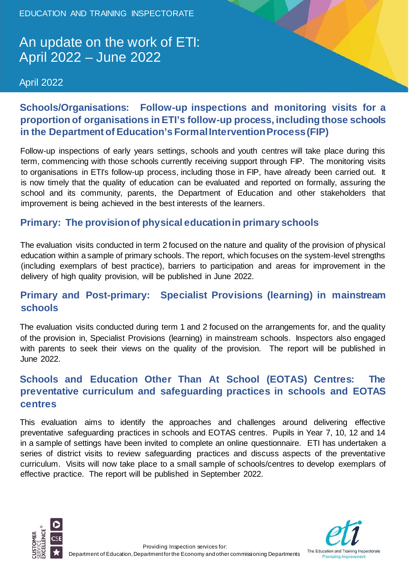EDUCATION AND TRAINING INSPECTORATE

## An update on the work of ETI: April 2022 – June 2022

April 2022

### **Schools/Organisations: Follow-up inspections and monitoring visits for a proportion of organisations in ETI's follow-up process, including those schools in the Department of Education's Formal Intervention Process (FIP)**

Follow-up inspections of early years settings, schools and youth centres will take place during this term, commencing with those schools currently receiving support through FIP. The monitoring visits to organisations in ETI's follow-up process, including those in FIP, have already been carried out. It is now timely that the quality of education can be evaluated and reported on formally, assuring the school and its community, parents, the Department of Education and other stakeholders that improvement is being achieved in the best interests of the learners.

### **Primary: The provision of physical education in primary schools**

The evaluation visits conducted in term 2 focused on the nature and quality of the provision of physical education within a sample of primary schools. The report, which focuses on the system-level strengths (including exemplars of best practice), barriers to participation and areas for improvement in the delivery of high quality provision, will be published in June 2022.

### **Primary and Post-primary: Specialist Provisions (learning) in mainstream schools**

The evaluation visits conducted during term 1 and 2 focused on the arrangements for, and the quality of the provision in, Specialist Provisions (learning) in mainstream schools. Inspectors also engaged with parents to seek their views on the quality of the provision. The report will be published in June 2022.

### **Schools and Education Other Than At School (EOTAS) Centres: The preventative curriculum and safeguarding practices in schools and EOTAS centres**

This evaluation aims to identify the approaches and challenges around delivering effective preventative safeguarding practices in schools and EOTAS centres. Pupils in Year 7, 10, 12 and 14 in a sample of settings have been invited to complete an online questionnaire. ETI has undertaken a series of district visits to review safeguarding practices and discuss aspects of the preventative curriculum. Visits will now take place to a small sample of schools/centres to develop exemplars of effective practice. The report will be published in September 2022.



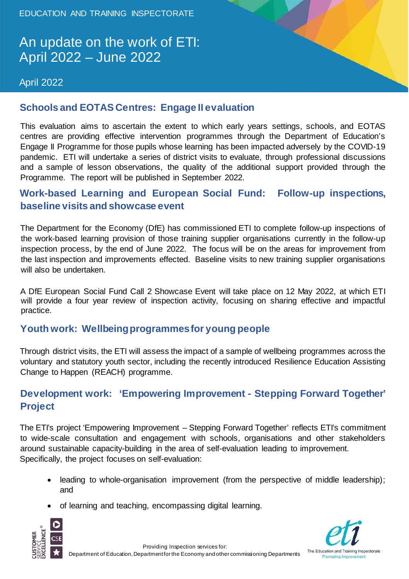# An update on the work of ETI: April 2022 – June 2022

#### April 2022



This evaluation aims to ascertain the extent to which early years settings, schools, and EOTAS centres are providing effective intervention programmes through the Department of Education's Engage II Programme for those pupils whose learning has been impacted adversely by the COVID-19 pandemic. ETI will undertake a series of district visits to evaluate, through professional discussions and a sample of lesson observations, the quality of the additional support provided through the Programme. The report will be published in September 2022.

#### **Work-based Learning and European Social Fund: Follow-up inspections, baseline visits and showcase event**

The Department for the Economy (DfE) has commissioned ETI to complete follow-up inspections of the work-based learning provision of those training supplier organisations currently in the follow-up inspection process, by the end of June 2022. The focus will be on the areas for improvement from the last inspection and improvements effected. Baseline visits to new training supplier organisations will also be undertaken.

A DfE European Social Fund Call 2 Showcase Event will take place on 12 May 2022, at which ETI will provide a four year review of inspection activity, focusing on sharing effective and impactful practice.

#### **Youth work: Wellbeing programmes for young people**

Through district visits, the ETI will assess the impact of a sample of wellbeing programmes across the voluntary and statutory youth sector, including the recently introduced Resilience Education Assisting Change to Happen (REACH) programme.

#### **Development work: 'Empowering Improvement - Stepping Forward Together' Project**

The ETI's project 'Empowering Improvement – Stepping Forward Together' reflects ETI's commitment to wide-scale consultation and engagement with schools, organisations and other stakeholders around sustainable capacity-building in the area of self-evaluation leading to improvement. Specifically, the project focuses on self-evaluation:

- leading to whole-organisation improvement (from the perspective of middle leadership); and
- of learning and teaching, encompassing digital learning.